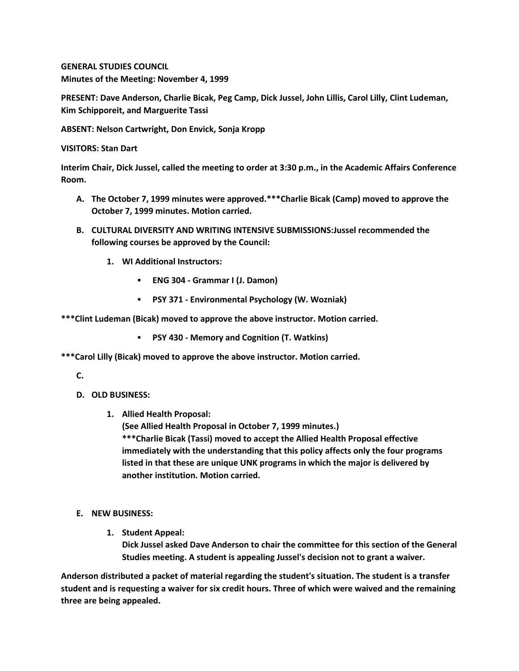**GENERAL STUDIES COUNCIL Minutes of the Meeting: November 4, 1999**

**PRESENT: Dave Anderson, Charlie Bicak, Peg Camp, Dick Jussel, John Lillis, Carol Lilly, Clint Ludeman, Kim Schipporeit, and Marguerite Tassi**

**ABSENT: Nelson Cartwright, Don Envick, Sonja Kropp**

**VISITORS: Stan Dart**

**Interim Chair, Dick Jussel, called the meeting to order at 3:30 p.m., in the Academic Affairs Conference Room.**

- **A. The October 7, 1999 minutes were approved.\*\*\*Charlie Bicak (Camp) moved to approve the October 7, 1999 minutes. Motion carried.**
- **B. CULTURAL DIVERSITY AND WRITING INTENSIVE SUBMISSIONS:Jussel recommended the following courses be approved by the Council:** 
	- **1. WI Additional Instructors:**
		- **ENG 304 - Grammar I (J. Damon)**
		- **PSY 371 - Environmental Psychology (W. Wozniak)**

**\*\*\*Clint Ludeman (Bicak) moved to approve the above instructor. Motion carried.** 

**PSY 430 - Memory and Cognition (T. Watkins)**

**\*\*\*Carol Lilly (Bicak) moved to approve the above instructor. Motion carried.**

**C.**

- **D. OLD BUSINESS:**
	- **1. Allied Health Proposal:**

**(See Allied Health Proposal in October 7, 1999 minutes.) \*\*\*Charlie Bicak (Tassi) moved to accept the Allied Health Proposal effective immediately with the understanding that this policy affects only the four programs** 

**listed in that these are unique UNK programs in which the major is delivered by another institution. Motion carried.**

- **E. NEW BUSINESS:**
	- **1. Student Appeal: Dick Jussel asked Dave Anderson to chair the committee for this section of the General Studies meeting. A student is appealing Jussel's decision not to grant a waiver.**

**Anderson distributed a packet of material regarding the student's situation. The student is a transfer student and is requesting a waiver for six credit hours. Three of which were waived and the remaining three are being appealed.**